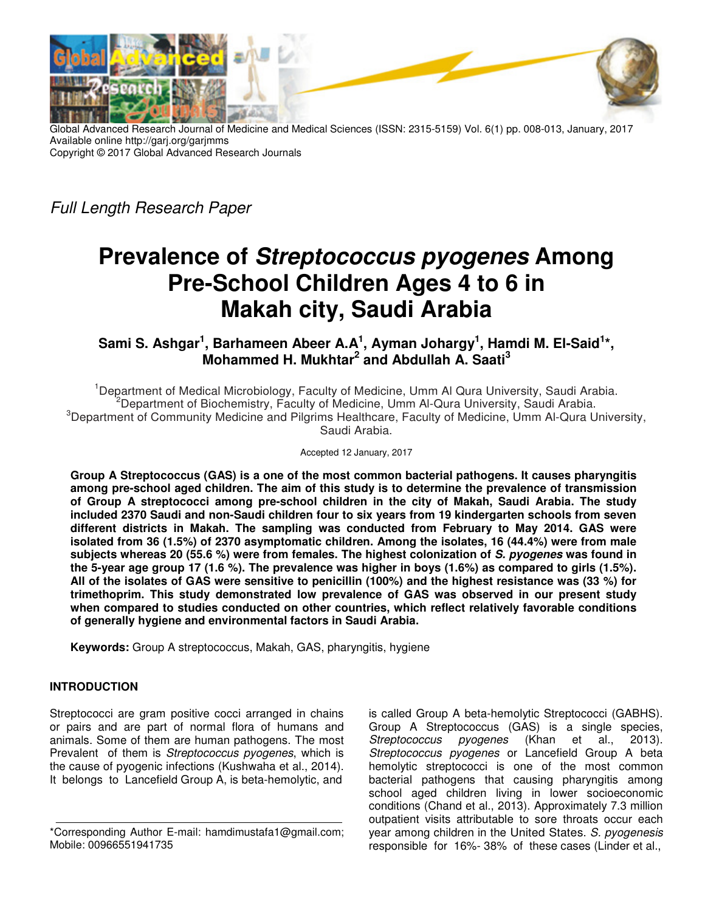

Global Advanced Research Journal of Medicine and Medical Sciences (ISSN: 2315-5159) Vol. 6(1) pp. 008-013, January, 2017 Available online http://garj.org/garjmms Copyright © 2017 Global Advanced Research Journals

Full Length Research Paper

# **Prevalence of Streptococcus pyogenes Among Pre-School Children Ages 4 to 6 in Makah city, Saudi Arabia**

## $\mathsf{Sami\ S.}\$  Ashgar $^1$ , Barhameen Abeer A.A $^1$ , Ayman Johargy $^1$ , Hamdi M. El-Said $^{1*}$ , **Mohammed H. Mukhtar<sup>2</sup> and Abdullah A. Saati<sup>3</sup>**

<sup>1</sup>Department of Medical Microbiology, Faculty of Medicine, Umm AI Qura University, Saudi Arabia. <sup>2</sup>Department of Biochemistry, Faculty of Medicine, Umm Al-Qura University, Saudi Arabia. <sup>3</sup>Department of Community Medicine and Pilgrims Healthcare, Faculty of Medicine, Umm Al-Qura University, Saudi Arabia.

Accepted 12 January, 2017

**Group A Streptococcus (GAS) is a one of the most common bacterial pathogens. It causes pharyngitis among pre-school aged children. The aim of this study is to determine the prevalence of transmission of Group A streptococci among pre-school children in the city of Makah, Saudi Arabia. The study included 2370 Saudi and non-Saudi children four to six years from 19 kindergarten schools from seven different districts in Makah. The sampling was conducted from February to May 2014. GAS were isolated from 36 (1.5%) of 2370 asymptomatic children. Among the isolates, 16 (44.4%) were from male subjects whereas 20 (55.6 %) were from females. The highest colonization of S. pyogenes was found in the 5-year age group 17 (1.6 %). The prevalence was higher in boys (1.6%) as compared to girls (1.5%). All of the isolates of GAS were sensitive to penicillin (100%) and the highest resistance was (33 %) for trimethoprim. This study demonstrated low prevalence of GAS was observed in our present study when compared to studies conducted on other countries, which reflect relatively favorable conditions of generally hygiene and environmental factors in Saudi Arabia.**

**Keywords:** Group A streptococcus, Makah, GAS, pharyngitis, hygiene

## **INTRODUCTION**

Streptococci are gram positive cocci arranged in chains or pairs and are part of normal flora of humans and animals. Some of them are human pathogens. The most Prevalent of them is Streptococcus pyogenes, which is the cause of pyogenic infections (Kushwaha et al., 2014). It belongs to Lancefield Group A, is beta-hemolytic, and

is called Group A beta-hemolytic Streptococci (GABHS). Group A Streptococcus (GAS) is a single species, Streptococcus pyogenes (Khan et al., 2013). Streptococcus pyogenes or Lancefield Group A beta hemolytic streptococci is one of the most common bacterial pathogens that causing pharyngitis among school aged children living in lower socioeconomic conditions (Chand et al., 2013). Approximately 7.3 million outpatient visits attributable to sore throats occur each year among children in the United States. S. pyogenesis responsible for 16%- 38% of these cases (Linder et al.,

<sup>\*</sup>Corresponding Author E-mail: hamdimustafa1@gmail.com; Mobile: 00966551941735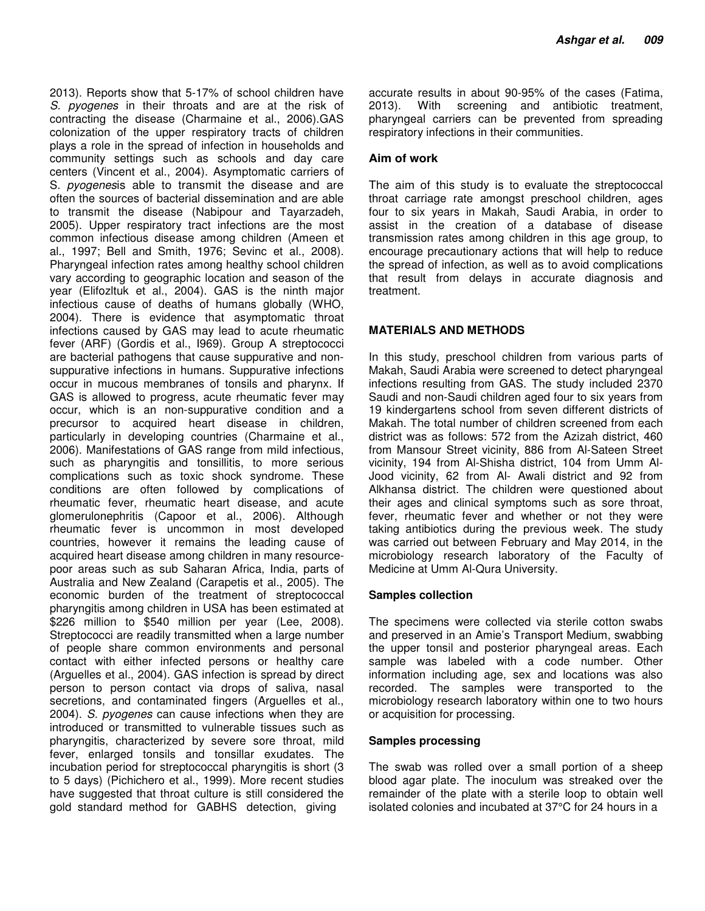2013). Reports show that 5-17% of school children have S. pyogenes in their throats and are at the risk of contracting the disease (Charmaine et al., 2006).GAS colonization of the upper respiratory tracts of children plays a role in the spread of infection in households and community settings such as schools and day care centers (Vincent et al., 2004). Asymptomatic carriers of S. *pyogenesis* able to transmit the disease and are often the sources of bacterial dissemination and are able to transmit the disease (Nabipour and Tayarzadeh, 2005). Upper respiratory tract infections are the most common infectious disease among children (Ameen et al., 1997; Bell and Smith, 1976; Sevinc et al., 2008). Pharyngeal infection rates among healthy school children vary according to geographic location and season of the year (Elifozltuk et al., 2004). GAS is the ninth major infectious cause of deaths of humans globally (WHO, 2004). There is evidence that asymptomatic throat infections caused by GAS may lead to acute rheumatic fever (ARF) (Gordis et al., I969). Group A streptococci are bacterial pathogens that cause suppurative and nonsuppurative infections in humans. Suppurative infections occur in mucous membranes of tonsils and pharynx. If GAS is allowed to progress, acute rheumatic fever may occur, which is an non-suppurative condition and a precursor to acquired heart disease in children, particularly in developing countries (Charmaine et al., 2006). Manifestations of GAS range from mild infectious, such as pharyngitis and tonsillitis, to more serious complications such as toxic shock syndrome. These conditions are often followed by complications of rheumatic fever, rheumatic heart disease, and acute glomerulonephritis (Capoor et al., 2006). Although rheumatic fever is uncommon in most developed countries, however it remains the leading cause of acquired heart disease among children in many resourcepoor areas such as sub Saharan Africa, India, parts of Australia and New Zealand (Carapetis et al., 2005). The economic burden of the treatment of streptococcal pharyngitis among children in USA has been estimated at \$226 million to \$540 million per year (Lee, 2008). Streptococci are readily transmitted when a large number of people share common environments and personal contact with either infected persons or healthy care (Arguelles et al., 2004). GAS infection is spread by direct person to person contact via drops of saliva, nasal secretions, and contaminated fingers (Arguelles et al., 2004). S. pyogenes can cause infections when they are introduced or transmitted to vulnerable tissues such as pharyngitis, characterized by severe sore throat, mild fever, enlarged tonsils and tonsillar exudates. The incubation period for streptococcal pharyngitis is short (3 to 5 days) (Pichichero et al., 1999). More recent studies have suggested that throat culture is still considered the gold standard method for GABHS detection, giving

accurate results in about 90-95% of the cases (Fatima, 2013). With screening and antibiotic treatment, pharyngeal carriers can be prevented from spreading respiratory infections in their communities.

### **Aim of work**

The aim of this study is to evaluate the streptococcal throat carriage rate amongst preschool children, ages four to six years in Makah, Saudi Arabia, in order to assist in the creation of a database of disease transmission rates among children in this age group, to encourage precautionary actions that will help to reduce the spread of infection, as well as to avoid complications that result from delays in accurate diagnosis and treatment.

#### **MATERIALS AND METHODS**

In this study, preschool children from various parts of Makah, Saudi Arabia were screened to detect pharyngeal infections resulting from GAS. The study included 2370 Saudi and non-Saudi children aged four to six years from 19 kindergartens school from seven different districts of Makah. The total number of children screened from each district was as follows: 572 from the Azizah district, 460 from Mansour Street vicinity, 886 from Al-Sateen Street vicinity, 194 from Al-Shisha district, 104 from Umm Al-Jood vicinity, 62 from Al- Awali district and 92 from Alkhansa district. The children were questioned about their ages and clinical symptoms such as sore throat, fever, rheumatic fever and whether or not they were taking antibiotics during the previous week. The study was carried out between February and May 2014, in the microbiology research laboratory of the Faculty of Medicine at Umm Al-Qura University.

#### **Samples collection**

The specimens were collected via sterile cotton swabs and preserved in an Amie's Transport Medium, swabbing the upper tonsil and posterior pharyngeal areas. Each sample was labeled with a code number. Other information including age, sex and locations was also recorded. The samples were transported to the microbiology research laboratory within one to two hours or acquisition for processing.

#### **Samples processing**

The swab was rolled over a small portion of a sheep blood agar plate. The inoculum was streaked over the remainder of the plate with a sterile loop to obtain well isolated colonies and incubated at 37°C for 24 hours in a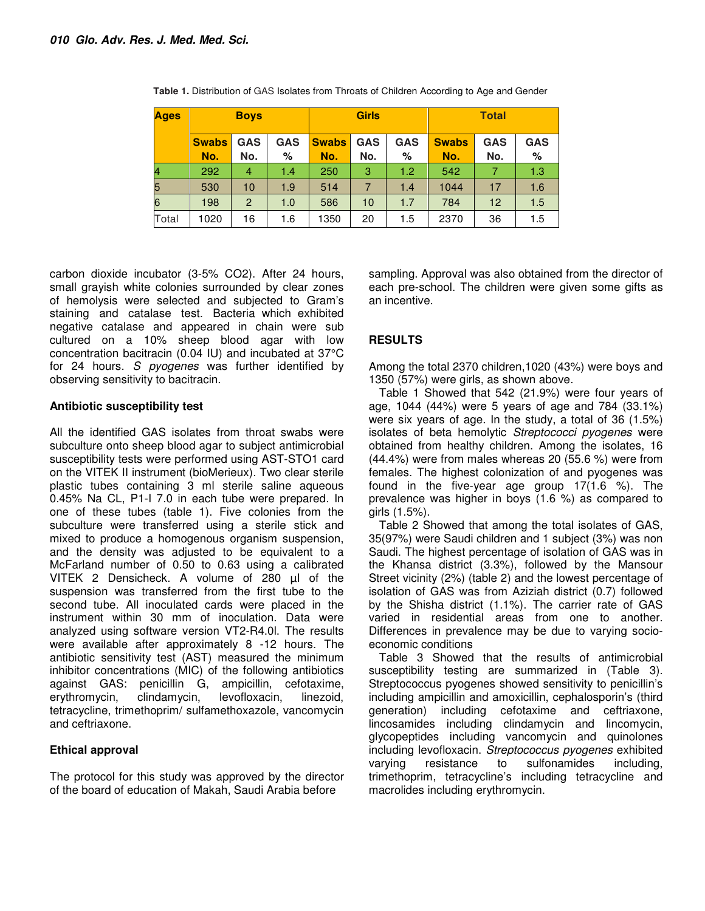| <b>Ages</b> | <b>Boys</b>  |                |            | <b>Girls</b> |            |            | <b>Total</b> |                 |            |
|-------------|--------------|----------------|------------|--------------|------------|------------|--------------|-----------------|------------|
|             | <b>Swabs</b> | <b>GAS</b>     | <b>GAS</b> | <b>Swabs</b> | <b>GAS</b> | <b>GAS</b> | <b>Swabs</b> | <b>GAS</b>      | <b>GAS</b> |
|             | No.          | No.            | %          | No.          | No.        | %          | No.          | No.             | %          |
| 4           | 292          | 4              | 1.4        | 250          | 3          | 1.2        | 542          |                 | 1.3        |
| 5           | 530          | 10             | 1.9        | 514          | 7          | 1.4        | 1044         | 17              | 1.6        |
| 6           | 198          | $\overline{2}$ | 1.0        | 586          | 10         | 1.7        | 784          | 12 <sup>2</sup> | 1.5        |
| Total       | 1020         | 16             | 1.6        | 1350         | 20         | 1.5        | 2370         | 36              | 1.5        |

**Table 1.** Distribution of GAS Isolates from Throats of Children According to Age and Gender

carbon dioxide incubator (3-5% CO2). After 24 hours, small grayish white colonies surrounded by clear zones of hemolysis were selected and subjected to Gram's staining and catalase test. Bacteria which exhibited negative catalase and appeared in chain were sub cultured on a 10% sheep blood agar with low concentration bacitracin (0.04 IU) and incubated at 37°C for 24 hours. S pyogenes was further identified by observing sensitivity to bacitracin.

## **Antibiotic susceptibility test**

All the identified GAS isolates from throat swabs were subculture onto sheep blood agar to subject antimicrobial susceptibility tests were performed using AST-STO1 card on the VITEK II instrument (bioMerieux). Two clear sterile plastic tubes containing 3 ml sterile saline aqueous 0.45% Na CL, P1-I 7.0 in each tube were prepared. In one of these tubes (table 1). Five colonies from the subculture were transferred using a sterile stick and mixed to produce a homogenous organism suspension, and the density was adjusted to be equivalent to a McFarland number of 0.50 to 0.63 using a calibrated VITEK 2 Densicheck. A volume of 280 µl of the suspension was transferred from the first tube to the second tube. All inoculated cards were placed in the instrument within 30 mm of inoculation. Data were analyzed using software version VT2-R4.0l. The results were available after approximately 8 -12 hours. The antibiotic sensitivity test (AST) measured the minimum inhibitor concentrations (MIC) of the following antibiotics against GAS: penicillin G, ampicillin, cefotaxime, erythromycin, clindamycin, levofloxacin, linezoid, tetracycline, trimethoprim/ sulfamethoxazole, vancomycin and ceftriaxone.

## **Ethical approval**

The protocol for this study was approved by the director of the board of education of Makah, Saudi Arabia before

sampling. Approval was also obtained from the director of each pre-school. The children were given some gifts as an incentive.

## **RESULTS**

Among the total 2370 children,1020 (43%) were boys and 1350 (57%) were girls, as shown above.

Table 1 Showed that 542 (21.9%) were four years of age, 1044 (44%) were 5 years of age and 784 (33.1%) were six years of age. In the study, a total of 36 (1.5%) isolates of beta hemolytic Streptococci pyogenes were obtained from healthy children. Among the isolates, 16 (44.4%) were from males whereas 20 (55.6 %) were from females. The highest colonization of and pyogenes was found in the five-year age group 17(1.6 %). The prevalence was higher in boys (1.6 %) as compared to girls (1.5%).

Table 2 Showed that among the total isolates of GAS, 35(97%) were Saudi children and 1 subject (3%) was non Saudi. The highest percentage of isolation of GAS was in the Khansa district (3.3%), followed by the Mansour Street vicinity (2%) (table 2) and the lowest percentage of isolation of GAS was from Aziziah district (0.7) followed by the Shisha district (1.1%). The carrier rate of GAS varied in residential areas from one to another. Differences in prevalence may be due to varying socioeconomic conditions

Table 3 Showed that the results of antimicrobial susceptibility testing are summarized in (Table 3). Streptococcus pyogenes showed sensitivity to penicillin's including ampicillin and amoxicillin, cephalosporin's (third generation) including cefotaxime and ceftriaxone, lincosamides including clindamycin and lincomycin, glycopeptides including vancomycin and quinolones including levofloxacin. Streptococcus pyogenes exhibited varying resistance to sulfonamides including, trimethoprim, tetracycline's including tetracycline and macrolides including erythromycin.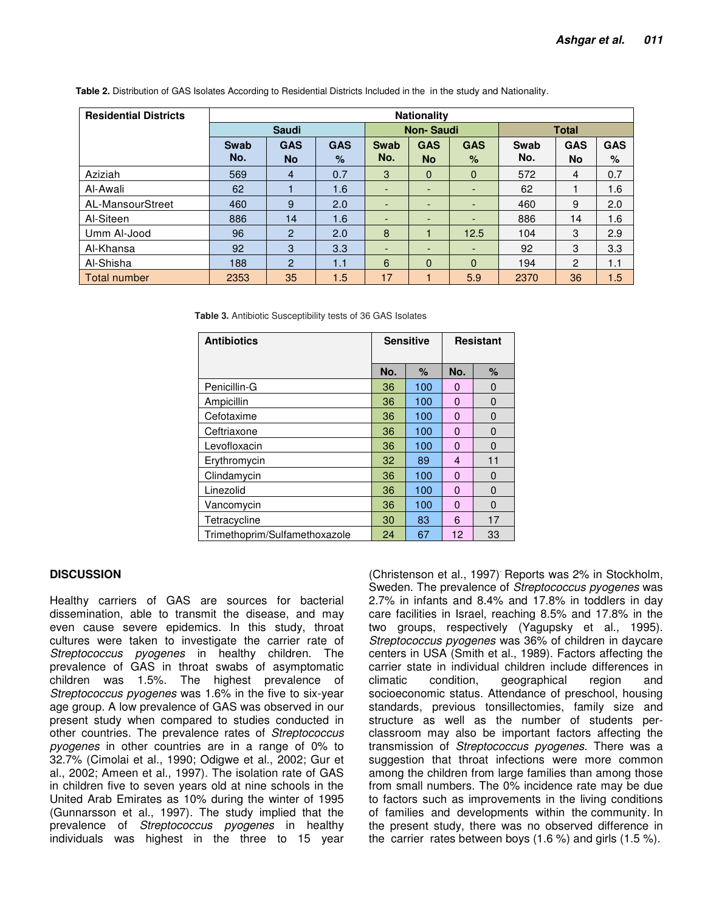| <b>Residential Districts</b> | <b>Nationality</b> |                |            |                          |                          |                          |              |                |            |  |
|------------------------------|--------------------|----------------|------------|--------------------------|--------------------------|--------------------------|--------------|----------------|------------|--|
|                              | <b>Saudi</b>       |                |            | <b>Non-Saudi</b>         |                          |                          | <b>Total</b> |                |            |  |
|                              | Swab               | <b>GAS</b>     | <b>GAS</b> | <b>Swab</b>              | <b>GAS</b>               | <b>GAS</b>               | Swab         | <b>GAS</b>     | <b>GAS</b> |  |
|                              | No.                | <b>No</b>      | $\%$       | No.                      | <b>No</b>                | $\%$                     | No.          | <b>No</b>      | %          |  |
| Aziziah                      | 569                | $\overline{4}$ | 0.7        | 3                        | $\Omega$                 | $\mathbf{0}$             | 572          | 4              | 0.7        |  |
| Al-Awali                     | 62                 |                | 1.6        | ٠                        | $\overline{\phantom{a}}$ | $\overline{\phantom{a}}$ | 62           |                | 1.6        |  |
| AL-MansourStreet             | 460                | 9              | 2.0        | $\overline{\phantom{0}}$ | -                        | -                        | 460          | 9              | 2.0        |  |
| Al-Siteen                    | 886                | 14             | 1.6        | $\overline{\phantom{0}}$ |                          |                          | 886          | 14             | 1.6        |  |
| Umm Al-Jood                  | 96                 | $\overline{2}$ | 2.0        | 8                        |                          | 12.5                     | 104          | 3              | 2.9        |  |
| Al-Khansa                    | 92                 | 3              | 3.3        | ٠                        | ٠                        | ٠                        | 92           | 3              | 3.3        |  |
| Al-Shisha                    | 188                | $\overline{2}$ | 1.1        | 6                        | $\Omega$                 | $\Omega$                 | 194          | $\overline{2}$ | 1.1        |  |
| Total number                 | 2353               | 35             | 1.5        | 17                       |                          | 5.9                      | 2370         | 36             | 1.5        |  |

**Table 2.** Distribution of GAS Isolates According to Residential Districts Included in the in the study and Nationality.

**Table 3.** Antibiotic Susceptibility tests of 36 GAS Isolates

| <b>Antibiotics</b>            | <b>Sensitive</b> |      | <b>Resistant</b> |          |
|-------------------------------|------------------|------|------------------|----------|
|                               | No.              | $\%$ | No.              | $\%$     |
| Penicillin-G                  | 36               | 100  | 0                | 0        |
| Ampicillin                    | 36               | 100  | $\Omega$         | 0        |
| Cefotaxime                    | 36               | 100  | 0                | 0        |
| Ceftriaxone                   | 36               | 100  | $\Omega$         | 0        |
| Levofloxacin                  | 36               | 100  | $\Omega$         | $\Omega$ |
| Erythromycin                  | 32               | 89   | 4                | 11       |
| Clindamycin                   | 36               | 100  | $\Omega$         | 0        |
| Linezolid                     | 36               | 100  | $\Omega$         | 0        |
| Vancomycin                    | 36               | 100  | $\Omega$         | 0        |
| Tetracycline                  | 30               | 83   | 6                | 17       |
| Trimethoprim/Sulfamethoxazole | 24               | 67   | 12               | 33       |

### **DISCUSSION**

Healthy carriers of GAS are sources for bacterial dissemination, able to transmit the disease, and may even cause severe epidemics. In this study, throat cultures were taken to investigate the carrier rate of Streptococcus pyogenes in healthy children. The prevalence of GAS in throat swabs of asymptomatic children was 1.5%. The highest prevalence of Streptococcus pyogenes was 1.6% in the five to six-year age group. A low prevalence of GAS was observed in our present study when compared to studies conducted in other countries. The prevalence rates of Streptococcus pyogenes in other countries are in a range of 0% to 32.7% (Cimolai et al., 1990; Odigwe et al., 2002; Gur et al., 2002; Ameen et al., 1997). The isolation rate of GAS in children five to seven years old at nine schools in the United Arab Emirates as 10% during the winter of 1995 (Gunnarsson et al., 1997). The study implied that the prevalence of Streptococcus pyogenes in healthy individuals was highest in the three to 15 year

(Christenson et al., 1997). Reports was 2% in Stockholm, Sweden. The prevalence of Streptococcus pyogenes was 2.7% in infants and 8.4% and 17.8% in toddlers in day care facilities in Israel, reaching 8.5% and 17.8% in the two groups, respectively (Yagupsky et al., 1995). Streptococcus pyogenes was 36% of children in daycare centers in USA (Smith et al., 1989). Factors affecting the carrier state in individual children include differences in climatic condition, geographical region and socioeconomic status. Attendance of preschool, housing standards, previous tonsillectomies, family size and structure as well as the number of students perclassroom may also be important factors affecting the transmission of Streptococcus pyogenes. There was a suggestion that throat infections were more common among the children from large families than among those from small numbers. The 0% incidence rate may be due to factors such as improvements in the living conditions of families and developments within the community. In the present study, there was no observed difference in the carrier rates between boys (1.6 %) and girls (1.5 %).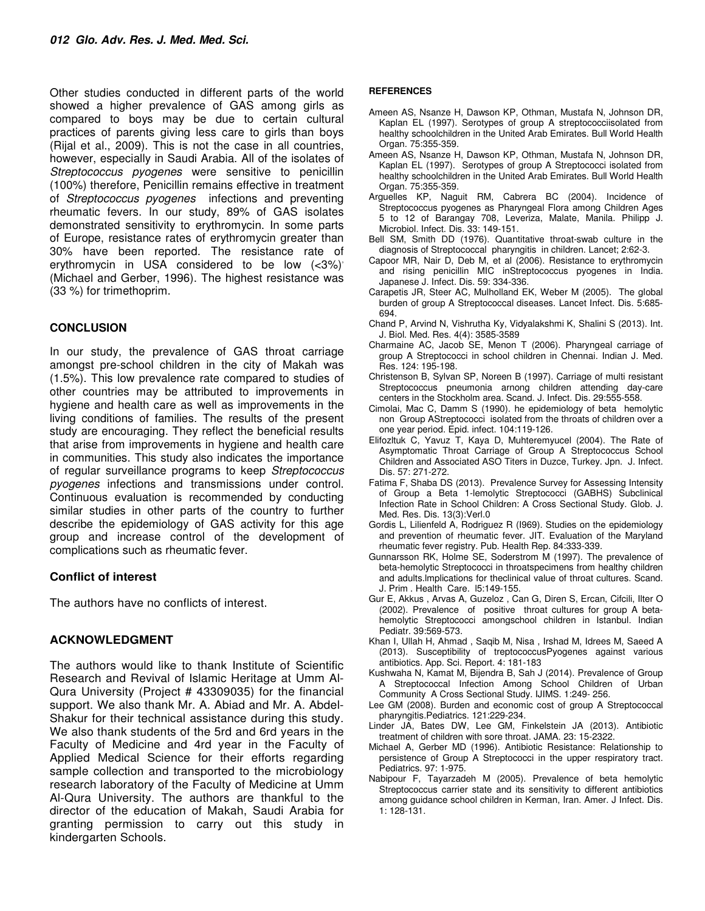Other studies conducted in different parts of the world showed a higher prevalence of GAS among girls as compared to boys may be due to certain cultural practices of parents giving less care to girls than boys (Rijal et al., 2009). This is not the case in all countries, however, especially in Saudi Arabia. All of the isolates of Streptococcus pyogenes were sensitive to penicillin (100%) therefore, Penicillin remains effective in treatment of Streptococcus pyogenes infections and preventing rheumatic fevers. In our study, 89% of GAS isolates demonstrated sensitivity to erythromycin. In some parts of Europe, resistance rates of erythromycin greater than 30% have been reported. The resistance rate of erythromycin in USA considered to be low  $( $3\%$ )'$ (Michael and Gerber, 1996). The highest resistance was (33 %) for trimethoprim.

## **CONCLUSION**

In our study, the prevalence of GAS throat carriage amongst pre-school children in the city of Makah was (1.5%). This low prevalence rate compared to studies of other countries may be attributed to improvements in hygiene and health care as well as improvements in the living conditions of families. The results of the present study are encouraging. They reflect the beneficial results that arise from improvements in hygiene and health care in communities. This study also indicates the importance of regular surveillance programs to keep Streptococcus pyogenes infections and transmissions under control. Continuous evaluation is recommended by conducting similar studies in other parts of the country to further describe the epidemiology of GAS activity for this age group and increase control of the development of complications such as rheumatic fever.

### **Conflict of interest**

The authors have no conflicts of interest.

## **ACKNOWLEDGMENT**

The authors would like to thank Institute of Scientific Research and Revival of Islamic Heritage at Umm Al-Qura University (Project # 43309035) for the financial support. We also thank Mr. A. Abiad and Mr. A. Abdel-Shakur for their technical assistance during this study. We also thank students of the 5rd and 6rd years in the Faculty of Medicine and 4rd year in the Faculty of Applied Medical Science for their efforts regarding sample collection and transported to the microbiology research laboratory of the Faculty of Medicine at Umm Al-Qura University. The authors are thankful to the director of the education of Makah, Saudi Arabia for granting permission to carry out this study in kindergarten Schools.

#### **REFERENCES**

- Ameen AS, Nsanze H, Dawson KP, Othman, Mustafa N, Johnson DR, Kaplan EL (1997). Serotypes of group A streptococciisolated from healthy schoolchildren in the United Arab Emirates. Bull World Health Organ. 75:355-359.
- Ameen AS, Nsanze H, Dawson KP, Othman, Mustafa N, Johnson DR, Kaplan EL (1997). Serotypes of group A Streptococci isolated from healthy schoolchildren in the United Arab Emirates. Bull World Health Organ. 75:355-359.
- Arguelles KP, Naguit RM, Cabrera BC (2004). Incidence of Streptococcus pyogenes as Pharyngeal Flora among Children Ages 5 to 12 of Barangay 708, Leveriza, Malate, Manila. Philipp J. Microbiol. Infect. Dis. 33: 149-151.
- Bell SM, Smith DD (1976). Quantitative throat-swab culture in the diagnosis of Streptococcal pharyngitis in children. Lancet; 2:62-3.
- Capoor MR, Nair D, Deb M, et al (2006). Resistance to erythromycin and rising penicillin MIC inStreptococcus pyogenes in India. Japanese J. Infect. Dis. 59: 334-336.
- Carapetis JR, Steer AC, Mulholland EK, Weber M (2005). The global burden of group A Streptococcal diseases. Lancet Infect. Dis. 5:685- 694.
- Chand P, Arvind N, Vishrutha Ky, Vidyalakshmi K, Shalini S (2013). Int. J. Biol. Med. Res. 4(4): 3585-3589
- Charmaine AC, Jacob SE, Menon T (2006). Pharyngeal carriage of group A Streptococci in school children in Chennai. Indian J. Med. Res. 124: 195-198.
- Christenson B, Sylvan SP, Noreen B (1997). Carriage of multi resistant Streptococcus pneumonia arnong children attending day-care centers in the Stockholm area. Scand. J. Infect. Dis. 29:555-558.
- Cimolai, Mac C, Damm S (1990). he epidemiology of beta hemolytic non Group AStreptococci isolated from the throats of children over a one year period. Epid. infect. 104:119-126.
- Elifozltuk C, Yavuz T, Kaya D, Muhteremyucel (2004). The Rate of Asymptomatic Throat Carriage of Group A Streptococcus School Children and Associated ASO Titers in Duzce, Turkey. Jpn. J. Infect. Dis. 57: 271-272.
- Fatima F, Shaba DS (2013). Prevalence Survey for Assessing Intensity of Group a Beta 1-lemolytic Streptococci (GABHS) Subclinical Infection Rate in School Children: A Cross Sectional Study. Glob. J. Med. Res. Dis. 13(3):Verl.0
- Gordis L, Lilienfeld A, Rodriguez R (I969). Studies on the epidemiology and prevention of rheumatic fever. JIT. Evaluation of the Maryland rheumatic fever registry. Pub. Health Rep. 84:333-339.
- Gunnarsson RK, Holme SE, Soderstrom M (1997). The prevalence of beta-hemolytic Streptococci in throatspecimens from healthy children and adults.lmplications for theclinical value of throat cultures. Scand. J. Prim . Health Care. l5:149-155.
- Gur E, Akkus , Arvas A, Guzeloz , Can G, Diren S, Ercan, Cifcili, Ilter O (2002). Prevalence of positive throat cultures for group A betahemolytic Streptococci amongschool children in Istanbul. Indian Pediatr. 39:569-573.
- Khan I, Ullah H, Ahmad , Saqib M, Nisa , Irshad M, Idrees M, Saeed A (2013). Susceptibility of treptococcusPyogenes against various antibiotics. App. Sci. Report. 4: 181-183
- Kushwaha N, Kamat M, Bijendra B, Sah J (2014). Prevalence of Group A Streptococcal Infection Among School Children of Urban Community A Cross Sectional Study. IJIMS. 1:249- 256.
- Lee GM (2008). Burden and economic cost of group A Streptococcal pharyngitis.Pediatrics. 121:229-234.
- Linder JA, Bates DW, Lee GM, Finkelstein JA (2013). Antibiotic treatment of children with sore throat. JAMA. 23: 15-2322.
- Michael A, Gerber MD (1996). Antibiotic Resistance: Relationship to persistence of Group A Streptococci in the upper respiratory tract. Pediatrics. 97: 1-975.
- Nabipour F, Tayarzadeh M (2005). Prevalence of beta hemolytic Streptococcus carrier state and its sensitivity to different antibiotics among guidance school children in Kerman, Iran. Amer. J Infect. Dis. 1: 128-131.